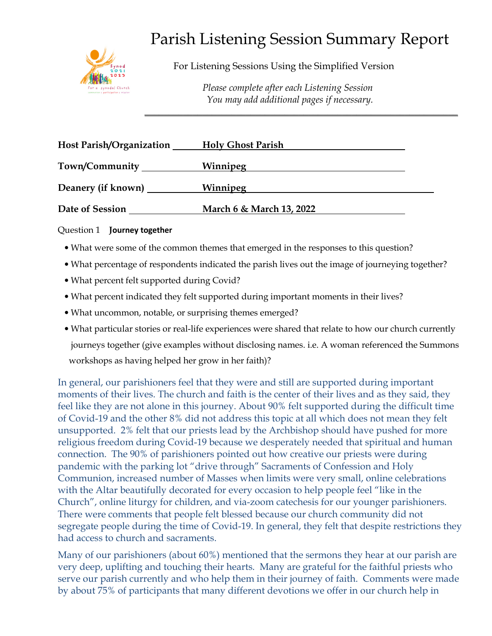

# Parish Listening Session Summary Report

For Listening Sessions Using the Simplified Version

 *Please complete after each Listening Session You may add additional pages if necessary.* 

| <b>Host Parish/Organization</b> | <b>Holy Ghost Parish</b> |
|---------------------------------|--------------------------|
| Town/Community                  | Winnipeg                 |
| Deanery (if known)              | Winnipeg                 |
| Date of Session                 | March 6 & March 13, 2022 |

**\_\_\_\_\_\_\_\_\_\_\_\_\_\_\_\_\_\_\_\_\_\_\_\_\_\_\_\_\_\_\_\_\_\_\_\_\_\_\_\_\_\_\_\_\_\_\_\_\_\_\_\_\_\_\_\_\_\_\_\_\_\_\_\_\_** 

### Question 1 **Journey together**

- What were some of the common themes that emerged in the responses to this question?
- What percentage of respondents indicated the parish lives out the image of journeying together?
- What percent felt supported during Covid?
- What percent indicated they felt supported during important moments in their lives?
- What uncommon, notable, or surprising themes emerged?
- What particular stories or real-life experiences were shared that relate to how our church currently journeys together (give examples without disclosing names. i.e. A woman referenced the Summons workshops as having helped her grow in her faith)?

In general, our parishioners feel that they were and still are supported during important moments of their lives. The church and faith is the center of their lives and as they said, they feel like they are not alone in this journey. About 90% felt supported during the difficult time of Covid-19 and the other 8% did not address this topic at all which does not mean they felt unsupported. 2% felt that our priests lead by the Archbishop should have pushed for more religious freedom during Covid-19 because we desperately needed that spiritual and human connection. The 90% of parishioners pointed out how creative our priests were during pandemic with the parking lot "drive through" Sacraments of Confession and Holy Communion, increased number of Masses when limits were very small, online celebrations with the Altar beautifully decorated for every occasion to help people feel "like in the Church", online liturgy for children, and via-zoom catechesis for our younger parishioners. There were comments that people felt blessed because our church community did not segregate people during the time of Covid-19. In general, they felt that despite restrictions they had access to church and sacraments.

Many of our parishioners (about 60%) mentioned that the sermons they hear at our parish are very deep, uplifting and touching their hearts. Many are grateful for the faithful priests who serve our parish currently and who help them in their journey of faith. Comments were made by about 75% of participants that many different devotions we offer in our church help in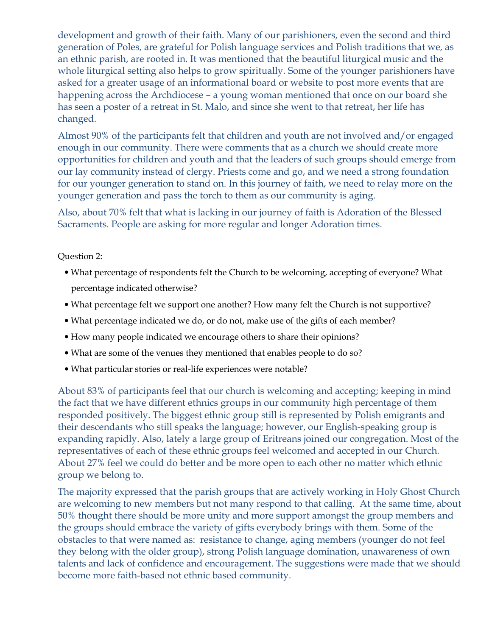development and growth of their faith. Many of our parishioners, even the second and third generation of Poles, are grateful for Polish language services and Polish traditions that we, as an ethnic parish, are rooted in. It was mentioned that the beautiful liturgical music and the whole liturgical setting also helps to grow spiritually. Some of the younger parishioners have asked for a greater usage of an informational board or website to post more events that are happening across the Archdiocese – a young woman mentioned that once on our board she has seen a poster of a retreat in St. Malo, and since she went to that retreat, her life has changed.

Almost 90% of the participants felt that children and youth are not involved and/or engaged enough in our community. There were comments that as a church we should create more opportunities for children and youth and that the leaders of such groups should emerge from our lay community instead of clergy. Priests come and go, and we need a strong foundation for our younger generation to stand on. In this journey of faith, we need to relay more on the younger generation and pass the torch to them as our community is aging.

Also, about 70% felt that what is lacking in our journey of faith is Adoration of the Blessed Sacraments. People are asking for more regular and longer Adoration times.

### Question 2:

- What percentage of respondents felt the Church to be welcoming, accepting of everyone? What percentage indicated otherwise?
- What percentage felt we support one another? How many felt the Church is not supportive?
- What percentage indicated we do, or do not, make use of the gifts of each member?
- How many people indicated we encourage others to share their opinions?
- What are some of the venues they mentioned that enables people to do so?
- What particular stories or real-life experiences were notable?

About 83% of participants feel that our church is welcoming and accepting; keeping in mind the fact that we have different ethnics groups in our community high percentage of them responded positively. The biggest ethnic group still is represented by Polish emigrants and their descendants who still speaks the language; however, our English-speaking group is expanding rapidly. Also, lately a large group of Eritreans joined our congregation. Most of the representatives of each of these ethnic groups feel welcomed and accepted in our Church. About 27% feel we could do better and be more open to each other no matter which ethnic group we belong to.

The majority expressed that the parish groups that are actively working in Holy Ghost Church are welcoming to new members but not many respond to that calling. At the same time, about 50% thought there should be more unity and more support amongst the group members and the groups should embrace the variety of gifts everybody brings with them. Some of the obstacles to that were named as: resistance to change, aging members (younger do not feel they belong with the older group), strong Polish language domination, unawareness of own talents and lack of confidence and encouragement. The suggestions were made that we should become more faith-based not ethnic based community.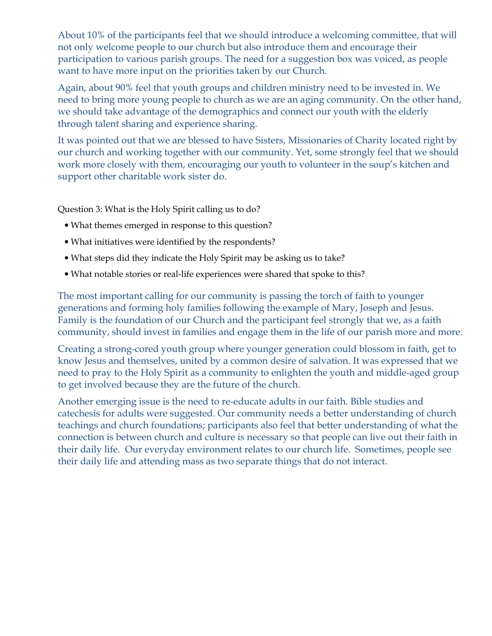About 10% of the participants feel that we should introduce a welcoming committee, that will not only welcome people to our church but also introduce them and encourage their participation to various parish groups. The need for a suggestion box was voiced, as people want to have more input on the priorities taken by our Church.

Again, about 90% feel that youth groups and children ministry need to be invested in. We need to bring more young people to church as we are an aging community. On the other hand, we should take advantage of the demographics and connect our youth with the elderly through talent sharing and experience sharing.

It was pointed out that we are blessed to have Sisters, Missionaries of Charity located right by our church and working together with our community. Yet, some strongly feel that we should work more closely with them, encouraging our youth to volunteer in the soup's kitchen and support other charitable work sister do.

Question 3: What is the Holy Spirit calling us to do?

- What themes emerged in response to this question?
- What initiatives were identified by the respondents?
- What steps did they indicate the Holy Spirit may be asking us to take?
- What notable stories or real-life experiences were shared that spoke to this?

The most important calling for our community is passing the torch of faith to younger generations and forming holy families following the example of Mary, Joseph and Jesus. Family is the foundation of our Church and the participant feel strongly that we, as a faith community, should invest in families and engage them in the life of our parish more and more.

Creating a strong-cored youth group where younger generation could blossom in faith, get to know Jesus and themselves, united by a common desire of salvation. It was expressed that we need to pray to the Holy Spirit as a community to enlighten the youth and middle-aged group to get involved because they are the future of the church.

Another emerging issue is the need to re-educate adults in our faith. Bible studies and catechesis for adults were suggested. Our community needs a better understanding of church teachings and church foundations; participants also feel that better understanding of what the connection is between church and culture is necessary so that people can live out their faith in their daily life. Our everyday environment relates to our church life. Sometimes, people see their daily life and attending mass as two separate things that do not interact.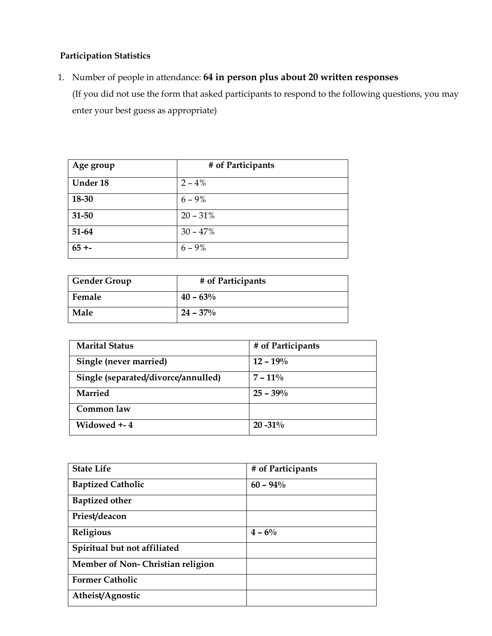## **Participation Statistics**

1. Number of people in attendance: **64 in person plus about 20 written responses** (If you did not use the form that asked participants to respond to the following questions, you may enter your best guess as appropriate)

| Age group | # of Participants |
|-----------|-------------------|
| Under 18  | $2 - 4%$          |
| 18-30     | $6 - 9\%$         |
| 31-50     | $20 - 31%$        |
| 51-64     | $30 - 47%$        |
| $65 + -$  | $6 - 9\%$         |

| Gender Group | # of Participants |
|--------------|-------------------|
| Female       | $40 - 63\%$       |
| Male         | $24 - 37\%$       |

| <b>Marital Status</b>               | # of Participants |
|-------------------------------------|-------------------|
| Single (never married)              | $12 - 19%$        |
| Single (separated/divorce/annulled) | $7 - 11\%$        |
| <b>Married</b>                      | $25 - 39\%$       |
| Common law                          |                   |
| Widowed +-4                         | $20 - 31\%$       |

| <b>State Life</b>                | # of Participants |
|----------------------------------|-------------------|
| <b>Baptized Catholic</b>         | $60 - 94\%$       |
| <b>Baptized other</b>            |                   |
| Priest/deacon                    |                   |
| Religious                        | $4 - 6\%$         |
| Spiritual but not affiliated     |                   |
| Member of Non-Christian religion |                   |
| <b>Former Catholic</b>           |                   |
| Atheist/Agnostic                 |                   |